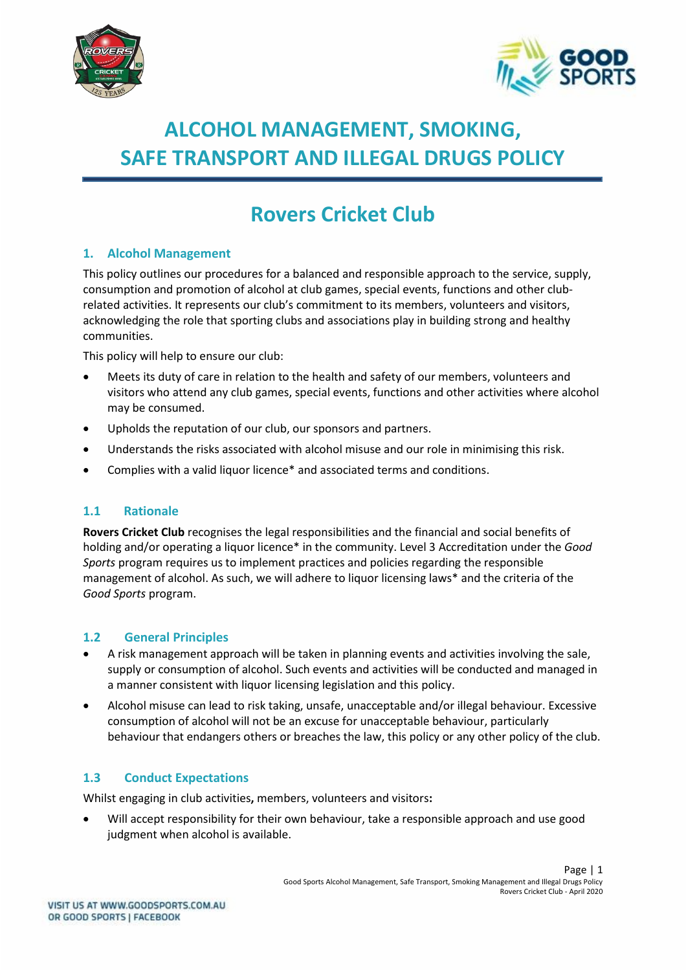



# **ALCOHOL MANAGEMENT, SMOKING, SAFE TRANSPORT AND ILLEGAL DRUGS POLICY**

# **Rovers Cricket Club**

## **1. Alcohol Management**

This policy outlines our procedures for a balanced and responsible approach to the service, supply, consumption and promotion of alcohol at club games, special events, functions and other clubrelated activities. It represents our club's commitment to its members, volunteers and visitors, acknowledging the role that sporting clubs and associations play in building strong and healthy communities.

This policy will help to ensure our club:

- Meets its duty of care in relation to the health and safety of our members, volunteers and visitors who attend any club games, special events, functions and other activities where alcohol may be consumed.
- Upholds the reputation of our club, our sponsors and partners.
- Understands the risks associated with alcohol misuse and our role in minimising this risk.
- Complies with a valid liquor licence\* and associated terms and conditions.

#### **1.1 Rationale**

**Rovers Cricket Club** recognises the legal responsibilities and the financial and social benefits of holding and/or operating a liquor licence\* in the community. Level 3 Accreditation under the *Good Sports* program requires us to implement practices and policies regarding the responsible management of alcohol. As such, we will adhere to liquor licensing laws\* and the criteria of the *Good Sports* program.

#### **1.2 General Principles**

- A risk management approach will be taken in planning events and activities involving the sale, supply or consumption of alcohol. Such events and activities will be conducted and managed in a manner consistent with liquor licensing legislation and this policy.
- Alcohol misuse can lead to risk taking, unsafe, unacceptable and/or illegal behaviour. Excessive consumption of alcohol will not be an excuse for unacceptable behaviour, particularly behaviour that endangers others or breaches the law, this policy or any other policy of the club.

## **1.3 Conduct Expectations**

Whilst engaging in club activities**,** members, volunteers and visitors**:**

• Will accept responsibility for their own behaviour, take a responsible approach and use good judgment when alcohol is available.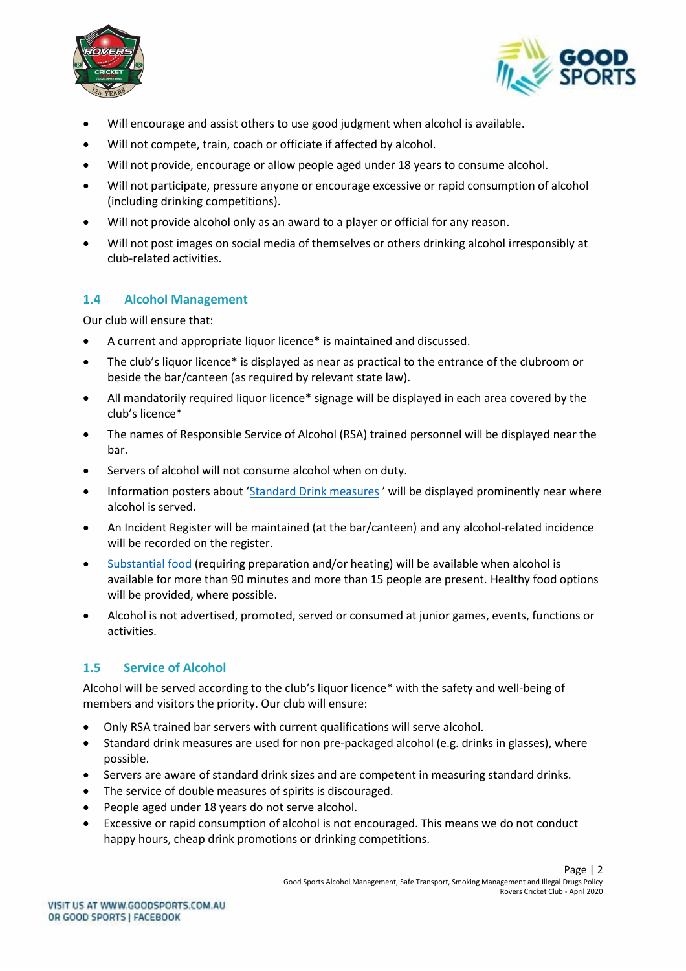



- Will encourage and assist others to use good judgment when alcohol is available.
- Will not compete, train, coach or officiate if affected by alcohol.
- Will not provide, encourage or allow people aged under 18 years to consume alcohol.
- Will not participate, pressure anyone or encourage excessive or rapid consumption of alcohol (including drinking competitions).
- Will not provide alcohol only as an award to a player or official for any reason.
- Will not post images on social media of themselves or others drinking alcohol irresponsibly at club-related activities.

#### **1.4 Alcohol Management**

Our club will ensure that:

- A current and appropriate liquor licence\* is maintained and discussed.
- The club's liquor licence\* is displayed as near as practical to the entrance of the clubroom or beside the bar/canteen (as required by relevant state law).
- All mandatorily required liquor licence\* signage will be displayed in each area covered by the club's licence\*
- The names of Responsible Service of Alcohol (RSA) trained personnel will be displayed near the bar.
- Servers of alcohol will not consume alcohol when on duty.
- Information posters about '[Standard Drink measures](file://///ADF-FILE/adf/Community%20Programs/Good%20Sports/MARKETING/Merchandise/Designs/2015/Double%20sided%20accreditation%20poster/ADF112%20Standard%20Drinks%20Poster%20A4%20ART-2_FINAL.pdf)' will be displayed prominently near where alcohol is served.
- An Incident Register will be maintained (at the bar/canteen) and any alcohol-related incidence will be recorded on the register.
- [Substantial food](file:///G:/Community%20Programs/Good%20Sports/Program%20Development%20Team%20-%20Good%20Sports/3.%20Program%20Resource%20Development/Resource%20Review%202016-2017/1.%20National%20Resources/Resource%205%20-%20Substantial%20Food%20Info%20Sheet/gs-substantial-food-information-sheet-20170130-v0.3.docx) (requiring preparation and/or heating) will be available when alcohol is available for more than 90 minutes and more than 15 people are present. Healthy food options will be provided, where possible.
- Alcohol is not advertised, promoted, served or consumed at junior games, events, functions or activities.

## **1.5 Service of Alcohol**

Alcohol will be served according to the club's liquor licence\* with the safety and well-being of members and visitors the priority. Our club will ensure:

- Only RSA trained bar servers with current qualifications will serve alcohol.
- Standard drink measures are used for non pre-packaged alcohol (e.g. drinks in glasses), where possible.
- Servers are aware of standard drink sizes and are competent in measuring standard drinks.
- The service of double measures of spirits is discouraged.
- People aged under 18 years do not serve alcohol.
- Excessive or rapid consumption of alcohol is not encouraged. This means we do not conduct happy hours, cheap drink promotions or drinking competitions.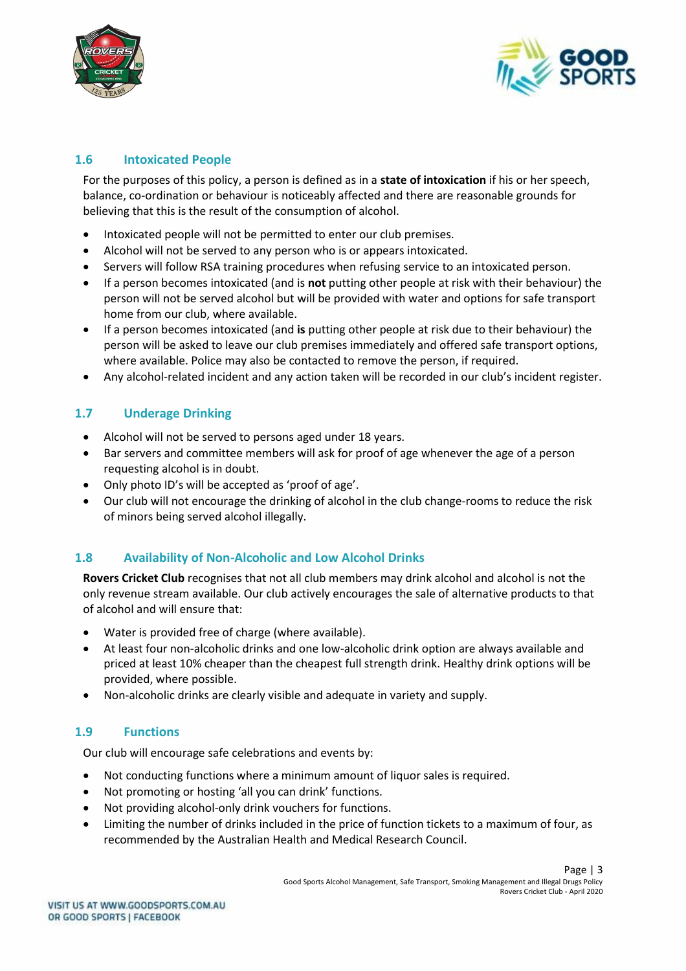



## **1.6 Intoxicated People**

For the purposes of this policy, a person is defined as in a **state of intoxication** if his or her speech, balance, co-ordination or behaviour is noticeably affected and there are reasonable grounds for believing that this is the result of the consumption of alcohol.

- Intoxicated people will not be permitted to enter our club premises.
- Alcohol will not be served to any person who is or appears intoxicated.
- Servers will follow RSA training procedures when refusing service to an intoxicated person.
- If a person becomes intoxicated (and is **not** putting other people at risk with their behaviour) the person will not be served alcohol but will be provided with water and options for safe transport home from our club, where available.
- If a person becomes intoxicated (and **is** putting other people at risk due to their behaviour) the person will be asked to leave our club premises immediately and offered safe transport options, where available. Police may also be contacted to remove the person, if required.
- Any alcohol-related incident and any action taken will be recorded in our club's incident register.

#### **1.7 Underage Drinking**

- Alcohol will not be served to persons aged under 18 years.
- Bar servers and committee members will ask for proof of age whenever the age of a person requesting alcohol is in doubt.
- Only photo ID's will be accepted as 'proof of age'.
- Our club will not encourage the drinking of alcohol in the club change-rooms to reduce the risk of minors being served alcohol illegally.

#### **1.8 Availability of Non-Alcoholic and Low Alcohol Drinks**

**Rovers Cricket Club** recognises that not all club members may drink alcohol and alcohol is not the only revenue stream available. Our club actively encourages the sale of alternative products to that of alcohol and will ensure that:

- Water is provided free of charge (where available).
- At least four non-alcoholic drinks and one low-alcoholic drink option are always available and priced at least 10% cheaper than the cheapest full strength drink. Healthy drink options will be provided, where possible.
- Non-alcoholic drinks are clearly visible and adequate in variety and supply.

#### **1.9 Functions**

Our club will encourage safe celebrations and events by:

- Not conducting functions where a minimum amount of liquor sales is required.
- Not promoting or hosting 'all you can drink' functions.
- Not providing alcohol-only drink vouchers for functions.
- Limiting the number of drinks included in the price of function tickets to a maximum of four, as recommended by the Australian Health and Medical Research Council.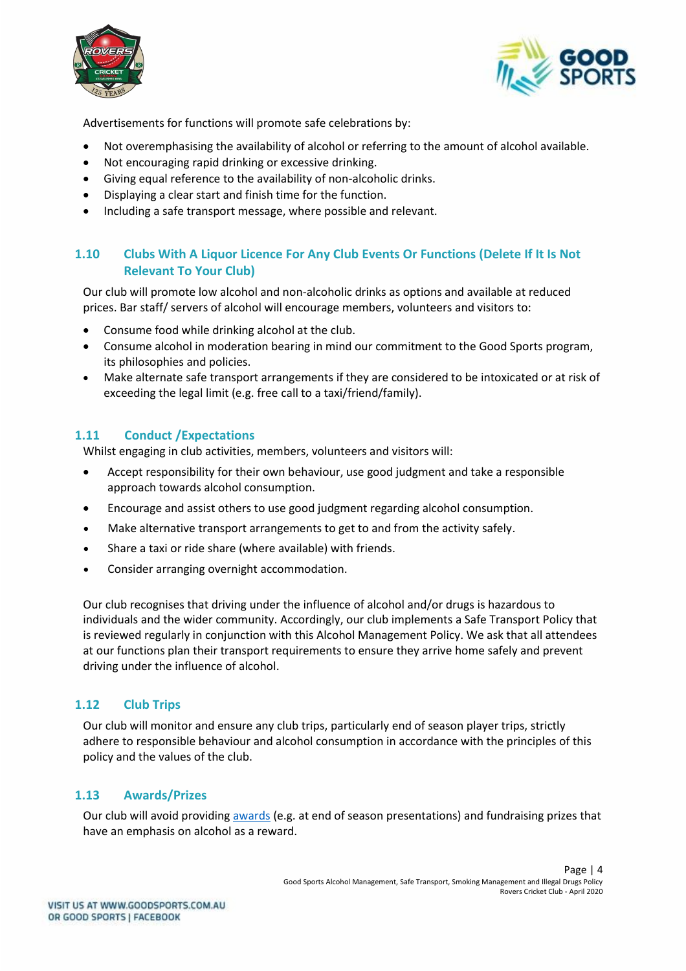



Advertisements for functions will promote safe celebrations by:

- Not overemphasising the availability of alcohol or referring to the amount of alcohol available.
- Not encouraging rapid drinking or excessive drinking.
- Giving equal reference to the availability of non-alcoholic drinks.
- Displaying a clear start and finish time for the function.
- Including a safe transport message, where possible and relevant.

## **1.10 Clubs With A Liquor Licence For Any Club Events Or Functions (Delete If It Is Not Relevant To Your Club)**

Our club will promote low alcohol and non-alcoholic drinks as options and available at reduced prices. Bar staff/ servers of alcohol will encourage members, volunteers and visitors to:

- Consume food while drinking alcohol at the club.
- Consume alcohol in moderation bearing in mind our commitment to the Good Sports program, its philosophies and policies.
- Make alternate safe transport arrangements if they are considered to be intoxicated or at risk of exceeding the legal limit (e.g. free call to a taxi/friend/family).

#### **1.11 Conduct /Expectations**

Whilst engaging in club activities, members, volunteers and visitors will:

- Accept responsibility for their own behaviour, use good judgment and take a responsible approach towards alcohol consumption.
- Encourage and assist others to use good judgment regarding alcohol consumption.
- Make alternative transport arrangements to get to and from the activity safely.
- Share a taxi or ride share (where available) with friends.
- Consider arranging overnight accommodation.

Our club recognises that driving under the influence of alcohol and/or drugs is hazardous to individuals and the wider community. Accordingly, our club implements a Safe Transport Policy that is reviewed regularly in conjunction with this Alcohol Management Policy. We ask that all attendees at our functions plan their transport requirements to ensure they arrive home safely and prevent driving under the influence of alcohol.

#### **1.12 Club Trips**

Our club will monitor and ensure any club trips, particularly end of season player trips, strictly adhere to responsible behaviour and alcohol consumption in accordance with the principles of this policy and the values of the club.

#### **1.13 Awards/Prizes**

Our club will avoid providing [awards](http://goodsports.com.au/resources/alternatives-alcohol-prizes/) (e.g. at end of season presentations) and fundraising prizes that have an emphasis on alcohol as a reward.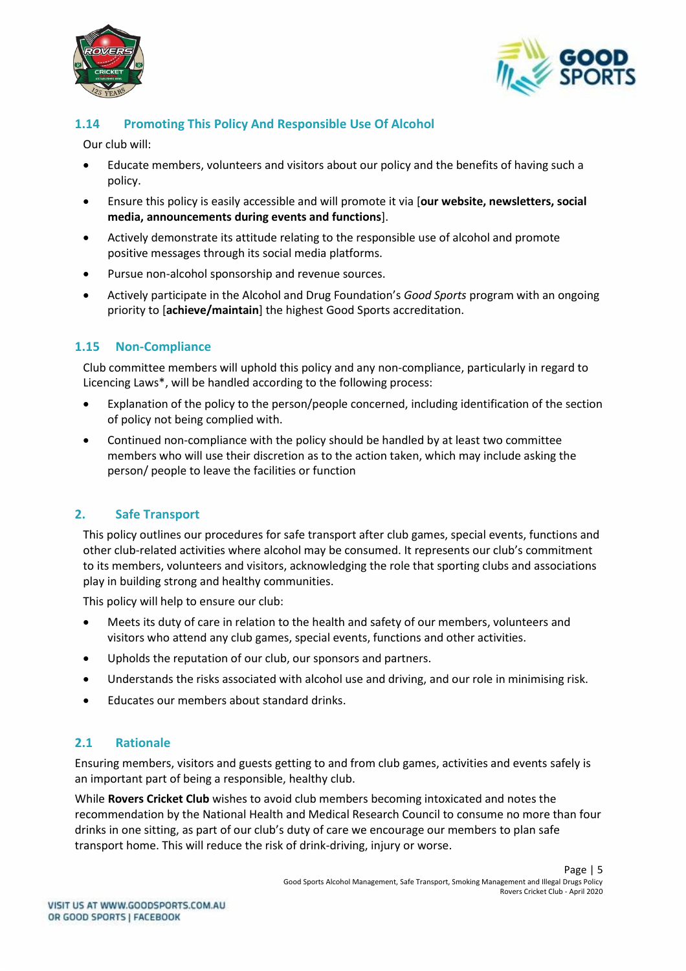



## **1.14 Promoting This Policy And Responsible Use Of Alcohol**

Our club will:

- Educate members, volunteers and visitors about our policy and the benefits of having such a policy.
- Ensure this policy is easily accessible and will promote it via [**our website, newsletters, social media, announcements during events and functions**].
- Actively demonstrate its attitude relating to the responsible use of alcohol and promote positive messages through its social media platforms.
- Pursue non-alcohol sponsorship and revenue sources.
- Actively participate in the Alcohol and Drug Foundation's *Good Sports* program with an ongoing priority to [**achieve/maintain**] the highest Good Sports accreditation.

## **1.15 Non-Compliance**

Club committee members will uphold this policy and any non-compliance, particularly in regard to Licencing Laws\*, will be handled according to the following process:

- Explanation of the policy to the person/people concerned, including identification of the section of policy not being complied with.
- Continued non-compliance with the policy should be handled by at least two committee members who will use their discretion as to the action taken, which may include asking the person/ people to leave the facilities or function

## **2. Safe Transport**

This policy outlines our procedures for safe transport after club games, special events, functions and other club-related activities where alcohol may be consumed. It represents our club's commitment to its members, volunteers and visitors, acknowledging the role that sporting clubs and associations play in building strong and healthy communities.

This policy will help to ensure our club:

- Meets its duty of care in relation to the health and safety of our members, volunteers and visitors who attend any club games, special events, functions and other activities.
- Upholds the reputation of our club, our sponsors and partners.
- Understands the risks associated with alcohol use and driving, and our role in minimising risk.
- Educates our members about standard drinks.

#### **2.1 Rationale**

Ensuring members, visitors and guests getting to and from club games, activities and events safely is an important part of being a responsible, healthy club.

While **Rovers Cricket Club** wishes to avoid club members becoming intoxicated and notes the recommendation by the National Health and Medical Research Council to consume no more than four drinks in one sitting, as part of our club's duty of care we encourage our members to plan safe transport home. This will reduce the risk of drink-driving, injury or worse.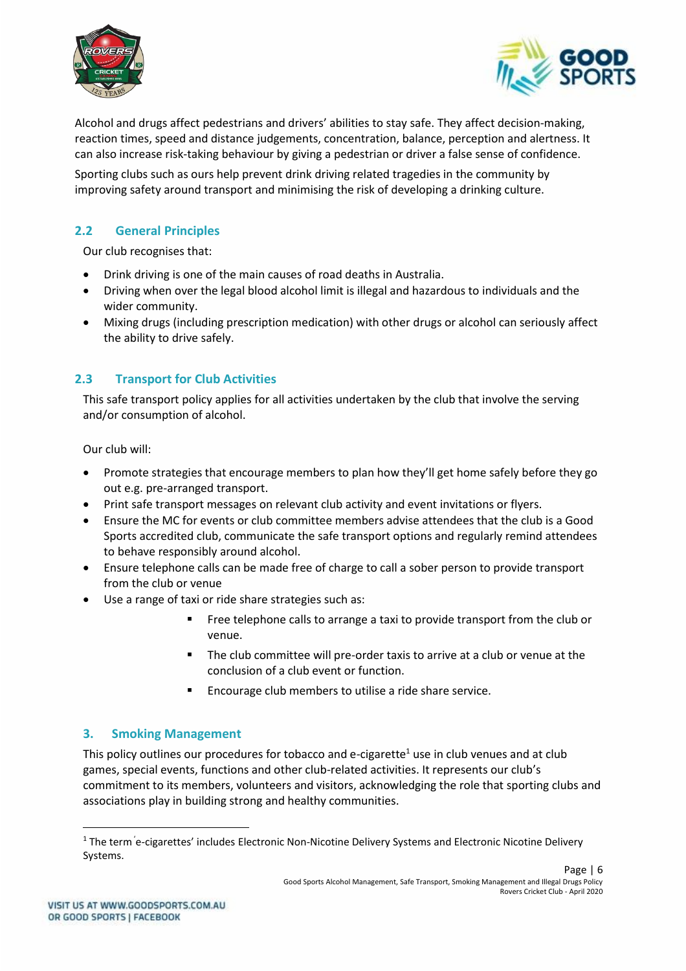



Alcohol and drugs affect pedestrians and drivers' abilities to stay safe. They affect decision-making, reaction times, speed and distance judgements, concentration, balance, perception and alertness. It can also increase risk-taking behaviour by giving a pedestrian or driver a false sense of confidence.

Sporting clubs such as ours help prevent drink driving related tragedies in the community by improving safety around transport and minimising the risk of developing a drinking culture.

## **2.2 General Principles**

Our club recognises that:

- Drink driving is one of the main causes of road deaths in Australia.
- Driving when over the legal blood alcohol limit is illegal and hazardous to individuals and the wider community.
- Mixing drugs (including prescription medication) with other drugs or alcohol can seriously affect the ability to drive safely.

## **2.3 Transport for Club Activities**

This safe transport policy applies for all activities undertaken by the club that involve the serving and/or consumption of alcohol.

Our club will:

- Promote strategies that encourage members to plan how they'll get home safely before they go out e.g. pre-arranged transport.
- Print safe transport messages on relevant club activity and event invitations or flyers.
- Ensure the MC for events or club committee members advise attendees that the club is a Good Sports accredited club, communicate the safe transport options and regularly remind attendees to behave responsibly around alcohol.
- Ensure telephone calls can be made free of charge to call a sober person to provide transport from the club or venue
- Use a range of taxi or ride share strategies such as:
	- **EXECT** Free telephone calls to arrange a taxi to provide transport from the club or venue.
	- The club committee will pre-order taxis to arrive at a club or venue at the conclusion of a club event or function.
	- Encourage club members to utilise a ride share service.

#### **3. Smoking Management**

This policy outlines our procedures for tobacco and e-cigarette<sup>1</sup> use in club venues and at club games, special events, functions and other club-related activities. It represents our club's commitment to its members, volunteers and visitors, acknowledging the role that sporting clubs and associations play in building strong and healthy communities.

<sup>&</sup>lt;sup>1</sup> The term e-cigarettes' includes Electronic Non-Nicotine Delivery Systems and Electronic Nicotine Delivery Systems.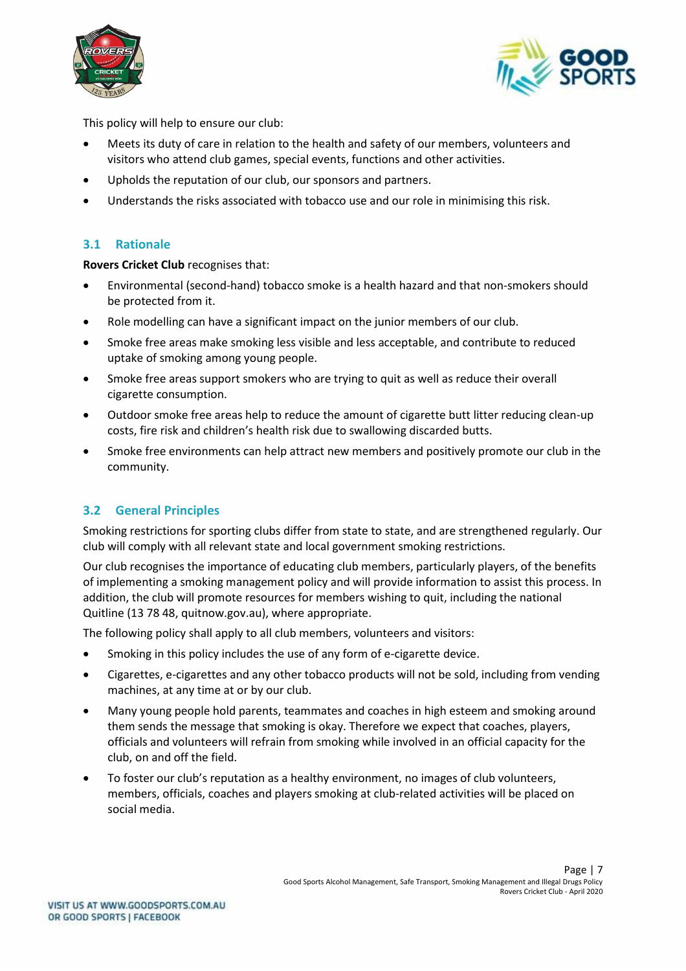



This policy will help to ensure our club:

- Meets its duty of care in relation to the health and safety of our members, volunteers and visitors who attend club games, special events, functions and other activities.
- Upholds the reputation of our club, our sponsors and partners.
- Understands the risks associated with tobacco use and our role in minimising this risk.

#### **3.1 Rationale**

**Rovers Cricket Club** recognises that:

- Environmental (second-hand) tobacco smoke is a health hazard and that non-smokers should be protected from it.
- Role modelling can have a significant impact on the junior members of our club.
- Smoke free areas make smoking less visible and less acceptable, and contribute to reduced uptake of smoking among young people.
- Smoke free areas support smokers who are trying to quit as well as reduce their overall cigarette consumption.
- Outdoor smoke free areas help to reduce the amount of cigarette butt litter reducing clean-up costs, fire risk and children's health risk due to swallowing discarded butts.
- Smoke free environments can help attract new members and positively promote our club in the community.

## **3.2 General Principles**

Smoking restrictions for sporting clubs differ from state to state, and are strengthened regularly. Our club will comply with all relevant state and local government smoking restrictions.

Our club recognises the importance of educating club members, particularly players, of the benefits of implementing a smoking management policy and will provide information to assist this process. In addition, the club will promote resources for members wishing to quit, including the national Quitline (13 78 48, quitnow.gov.au), where appropriate.

The following policy shall apply to all club members, volunteers and visitors:

- Smoking in this policy includes the use of any form of e-cigarette device.
- Cigarettes, e-cigarettes and any other tobacco products will not be sold, including from vending machines, at any time at or by our club.
- Many young people hold parents, teammates and coaches in high esteem and smoking around them sends the message that smoking is okay. Therefore we expect that coaches, players, officials and volunteers will refrain from smoking while involved in an official capacity for the club, on and off the field.
- To foster our club's reputation as a healthy environment, no images of club volunteers, members, officials, coaches and players smoking at club-related activities will be placed on social media.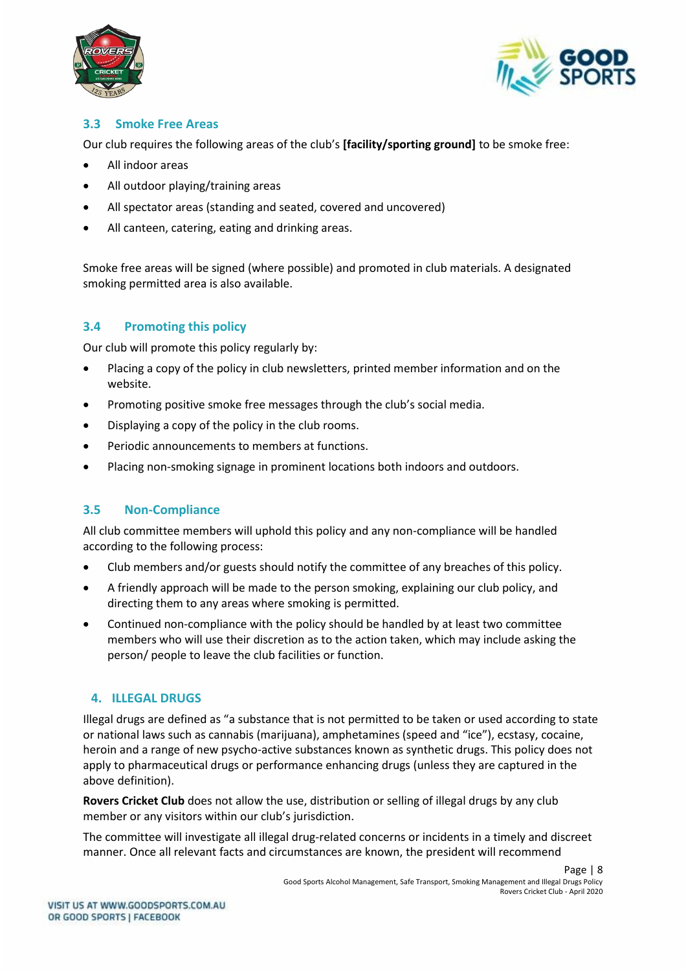



## **3.3 Smoke Free Areas**

Our club requires the following areas of the club's **[facility/sporting ground]** to be smoke free:

- All indoor areas
- All outdoor playing/training areas
- All spectator areas (standing and seated, covered and uncovered)
- All canteen, catering, eating and drinking areas.

Smoke free areas will be signed (where possible) and promoted in club materials. A designated smoking permitted area is also available.

## **3.4 Promoting this policy**

Our club will promote this policy regularly by:

- Placing a copy of the policy in club newsletters, printed member information and on the website.
- Promoting positive smoke free messages through the club's social media.
- Displaying a copy of the policy in the club rooms.
- Periodic announcements to members at functions.
- Placing non-smoking signage in prominent locations both indoors and outdoors.

## **3.5 Non-Compliance**

All club committee members will uphold this policy and any non-compliance will be handled according to the following process:

- Club members and/or guests should notify the committee of any breaches of this policy.
- A friendly approach will be made to the person smoking, explaining our club policy, and directing them to any areas where smoking is permitted.
- Continued non-compliance with the policy should be handled by at least two committee members who will use their discretion as to the action taken, which may include asking the person/ people to leave the club facilities or function.

## **4. ILLEGAL DRUGS**

Illegal drugs are defined as "a substance that is not permitted to be taken or used according to state or national laws such as cannabis (marijuana), amphetamines (speed and "ice"), ecstasy, cocaine, heroin and a range of new psycho-active substances known as synthetic drugs. This policy does not apply to pharmaceutical drugs or performance enhancing drugs (unless they are captured in the above definition).

**Rovers Cricket Club** does not allow the use, distribution or selling of illegal drugs by any club member or any visitors within our club's jurisdiction.

The committee will investigate all illegal drug-related concerns or incidents in a timely and discreet manner. Once all relevant facts and circumstances are known, the president will recommend